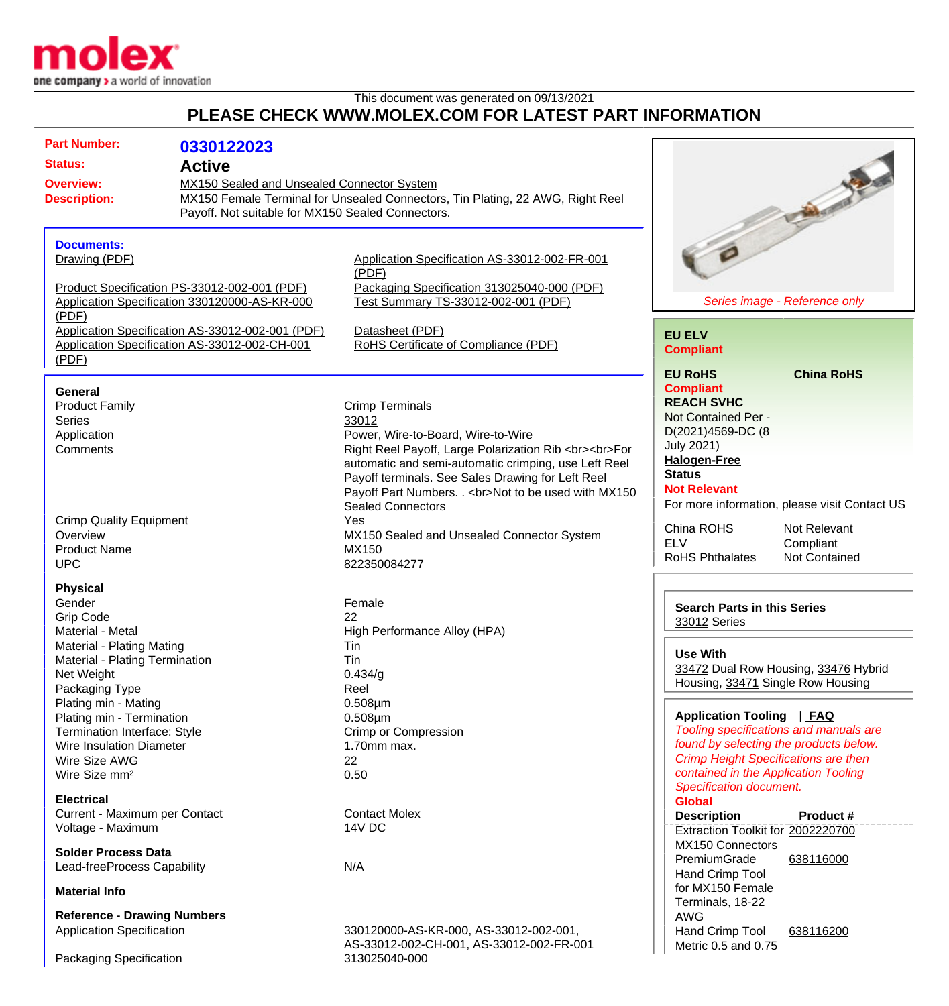

## This document was generated on 09/13/2021 **PLEASE CHECK WWW.MOLEX.COM FOR LATEST PART INFORMATION**

| <b>Part Number:</b><br>0330122023<br><b>Status:</b><br><b>Active</b><br><b>Overview:</b><br><b>Description:</b>                                                                         | MX150 Sealed and Unsealed Connector System<br>MX150 Female Terminal for Unsealed Connectors, Tin Plating, 22 AWG, Right Reel<br>Payoff. Not suitable for MX150 Sealed Connectors.                                                                                                                                               | <b>Talent</b>                                                                                                                                                                                                                                                 |
|-----------------------------------------------------------------------------------------------------------------------------------------------------------------------------------------|---------------------------------------------------------------------------------------------------------------------------------------------------------------------------------------------------------------------------------------------------------------------------------------------------------------------------------|---------------------------------------------------------------------------------------------------------------------------------------------------------------------------------------------------------------------------------------------------------------|
| <b>Documents:</b><br>Drawing (PDF)<br>Product Specification PS-33012-002-001 (PDF)<br>Application Specification 330120000-AS-KR-000<br>(PDF)                                            | Application Specification AS-33012-002-FR-001<br>(PDF)<br>Packaging Specification 313025040-000 (PDF)<br>Test Summary TS-33012-002-001 (PDF)                                                                                                                                                                                    | Series image - Reference only                                                                                                                                                                                                                                 |
| Application Specification AS-33012-002-001 (PDF)<br>Application Specification AS-33012-002-CH-001<br>(PDF)                                                                              | Datasheet (PDF)<br>RoHS Certificate of Compliance (PDF)                                                                                                                                                                                                                                                                         | <b>EU ELV</b><br><b>Compliant</b>                                                                                                                                                                                                                             |
| <b>General</b><br><b>Product Family</b><br><b>Series</b><br>Application<br>Comments                                                                                                     | <b>Crimp Terminals</b><br>33012<br>Power, Wire-to-Board, Wire-to-Wire<br>Right Reel Payoff, Large Polarization Rib<br><br>For<br>automatic and semi-automatic crimping, use Left Reel<br>Payoff terminals. See Sales Drawing for Left Reel<br>Payoff Part Numbers. . < br>Not to be used with MX150<br><b>Sealed Connectors</b> | <b>EU RoHS</b><br><b>China RoHS</b><br><b>Compliant</b><br><b>REACH SVHC</b><br>Not Contained Per -<br>D(2021)4569-DC (8<br><b>July 2021)</b><br><b>Halogen-Free</b><br><b>Status</b><br><b>Not Relevant</b><br>For more information, please visit Contact US |
| <b>Crimp Quality Equipment</b><br>Overview<br><b>Product Name</b><br><b>UPC</b>                                                                                                         | Yes<br>MX150 Sealed and Unsealed Connector System<br>MX150<br>822350084277                                                                                                                                                                                                                                                      | China ROHS<br>Not Relevant<br><b>ELV</b><br>Compliant<br><b>RoHS Phthalates</b><br>Not Contained                                                                                                                                                              |
| <b>Physical</b><br>Gender<br><b>Grip Code</b><br>Material - Metal<br>Material - Plating Mating<br>Material - Plating Termination<br>Net Weight<br>Packaging Type                        | Female<br>22<br>High Performance Alloy (HPA)<br>Tin<br>Tin<br>0.434/g<br>Reel                                                                                                                                                                                                                                                   | <b>Search Parts in this Series</b><br>33012 Series<br><b>Use With</b><br>33472 Dual Row Housing, 33476 Hybrid<br>Housing, 33471 Single Row Housing                                                                                                            |
| Plating min - Mating<br>Plating min - Termination<br>Termination Interface: Style<br><b>Wire Insulation Diameter</b><br>Wire Size AWG<br>Wire Size mm <sup>2</sup><br><b>Electrical</b> | $0.508 \mu m$<br>$0.508 \mu m$<br><b>Crimp or Compression</b><br>$1.70$ mm max.<br>22<br>0.50                                                                                                                                                                                                                                   | Application Tooling   FAQ<br>Tooling specifications and manuals are<br>found by selecting the products below.<br><b>Crimp Height Specifications are then</b><br>contained in the Application Tooling<br>Specification document.                               |
| Current - Maximum per Contact<br>Voltage - Maximum                                                                                                                                      | <b>Contact Molex</b><br>14V DC                                                                                                                                                                                                                                                                                                  | <b>Global</b><br><b>Description</b><br>Product #<br>Extraction Toolkit for 2002220700                                                                                                                                                                         |
| <b>Solder Process Data</b><br>Lead-freeProcess Capability                                                                                                                               | N/A                                                                                                                                                                                                                                                                                                                             | <b>MX150 Connectors</b><br>PremiumGrade<br>638116000<br>Hand Crimp Tool                                                                                                                                                                                       |
| <b>Material Info</b><br><b>Reference - Drawing Numbers</b><br><b>Application Specification</b>                                                                                          | 330120000-AS-KR-000, AS-33012-002-001,                                                                                                                                                                                                                                                                                          | for MX150 Female<br>Terminals, 18-22<br>AWG<br>Hand Crimp Tool<br>638116200                                                                                                                                                                                   |
| Packaging Specification                                                                                                                                                                 | AS-33012-002-CH-001, AS-33012-002-FR-001<br>313025040-000                                                                                                                                                                                                                                                                       | Metric 0.5 and 0.75                                                                                                                                                                                                                                           |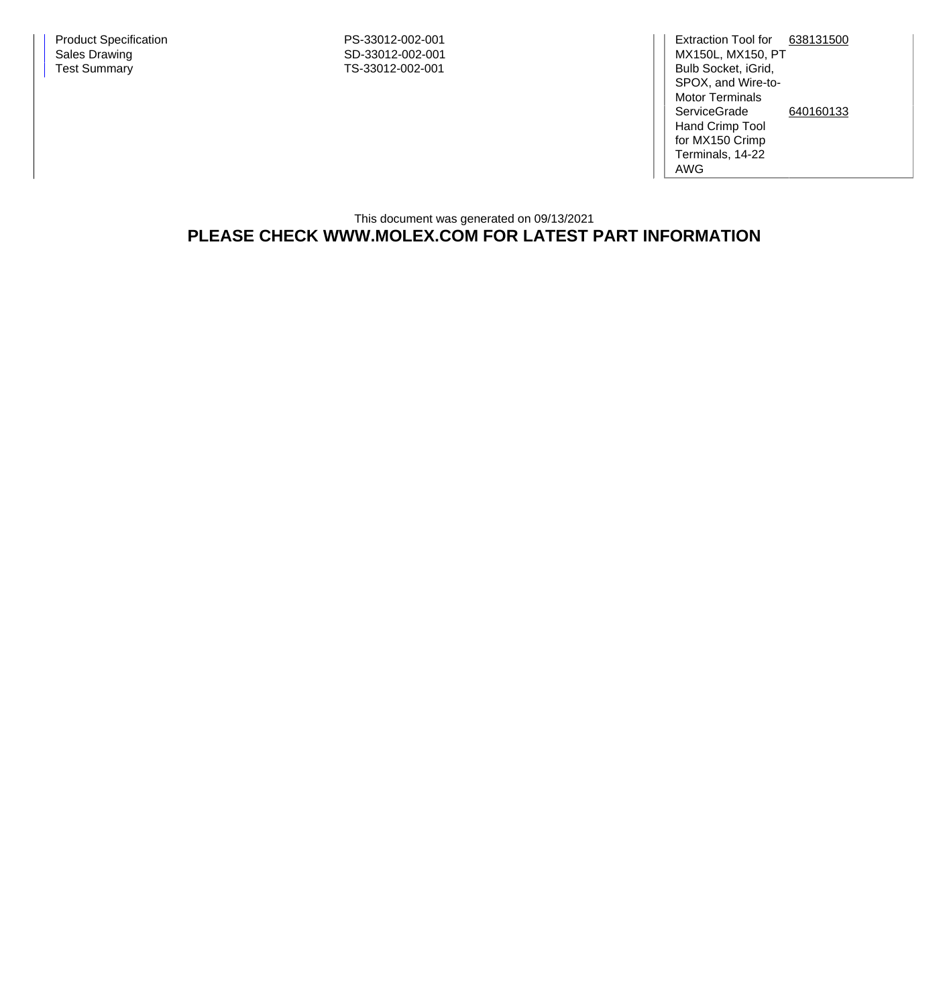Extraction Tool for [638131500](http://www.molex.com/molex/products/datasheet.jsp?part=active/0638131500_APPLICATION_TOOLIN.xml) MX150L, MX150, PT Bulb Socket, iGrid, SPOX, and Wire-to-Motor Terminals **ServiceGrade** Hand Crimp Tool for MX150 Crimp Terminals, 14-22 AWG [640160133](http://www.molex.com/molex/products/datasheet.jsp?part=active/0640160133_APPLICATION_TOOLIN.xml)

This document was generated on 09/13/2021 **PLEASE CHECK WWW.MOLEX.COM FOR LATEST PART INFORMATION**